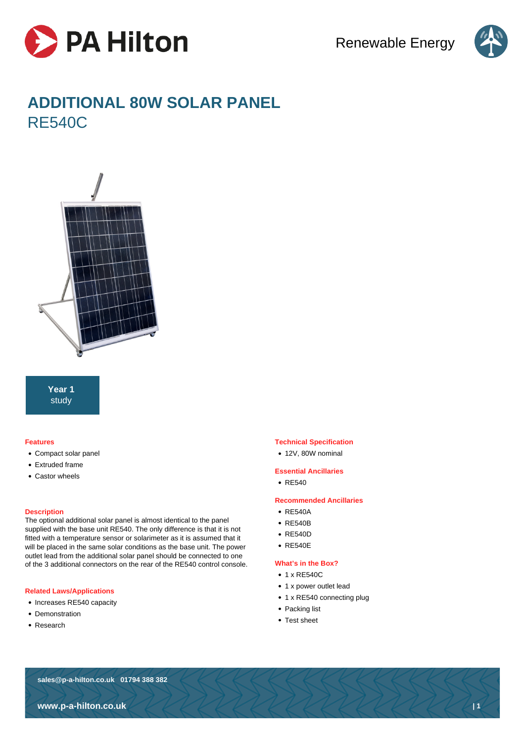



# **ADDITIONAL 80W SOLAR PANEL** RE540C



**Year 1** study

#### **Features**

- Compact solar panel
- Extruded frame
- Castor wheels

#### **Description**

The optional additional solar panel is almost identical to the panel supplied with the base unit RE540. The only difference is that it is not fitted with a temperature sensor or solarimeter as it is assumed that it will be placed in the same solar conditions as the base unit. The power outlet lead from the additional solar panel should be connected to one of the 3 additional connectors on the rear of the RE540 control console.

#### **Related Laws/Applications**

- Increases RE540 capacity
- Demonstration
- Research

#### **Technical Specification**

• 12V, 80W nominal

### **Essential Ancillaries**

• RF540

#### **Recommended Ancillaries**

- RF540A
- RE540B
- RE540D
- RE540E

#### **What's in the Box?**

- 1 x RE540C
- 1 x power outlet lead
- 1 x RE540 connecting plug
- Packing list
- Test sheet